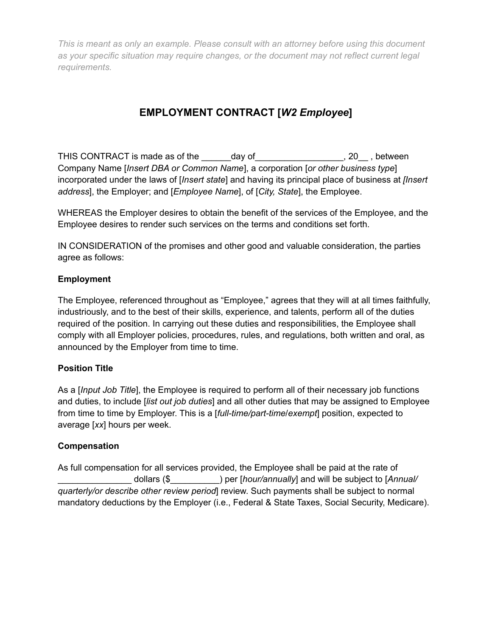# **EMPLOYMENT CONTRACT [***W2 Employee***]**

THIS CONTRACT is made as of the \_\_\_\_\_\_day of \_\_\_\_\_\_\_\_\_\_\_\_\_\_\_\_\_\_, 20\_\_, between Company Name [*Insert DBA or Common Name*], a corporation [*or other business type*] incorporated under the laws of [*Insert state*] and having its principal place of business at *[Insert address*], the Employer; and [*Employee Name*], of [*City, State*], the Employee.

WHEREAS the Employer desires to obtain the benefit of the services of the Employee, and the Employee desires to render such services on the terms and conditions set forth.

IN CONSIDERATION of the promises and other good and valuable consideration, the parties agree as follows:

## **Employment**

The Employee, referenced throughout as "Employee," agrees that they will at all times faithfully, industriously, and to the best of their skills, experience, and talents, perform all of the duties required of the position. In carrying out these duties and responsibilities, the Employee shall comply with all Employer policies, procedures, rules, and regulations, both written and oral, as announced by the Employer from time to time.

## **Position Title**

As a [*Input Job Title*], the Employee is required to perform all of their necessary job functions and duties, to include [*list out job duties*] and all other duties that may be assigned to Employee from time to time by Employer. This is a [*full-time/part-time*/*exempt*] position, expected to average [*xx*] hours per week.

## **Compensation**

As full compensation for all services provided, the Employee shall be paid at the rate of \_\_\_\_\_\_\_\_\_\_\_\_\_\_\_ dollars (\$\_\_\_\_\_\_\_\_\_\_) per [*hour/annually*] and will be subject to [*Annual/ quarterly/or describe other review period*] review. Such payments shall be subject to normal mandatory deductions by the Employer (i.e., Federal & State Taxes, Social Security, Medicare).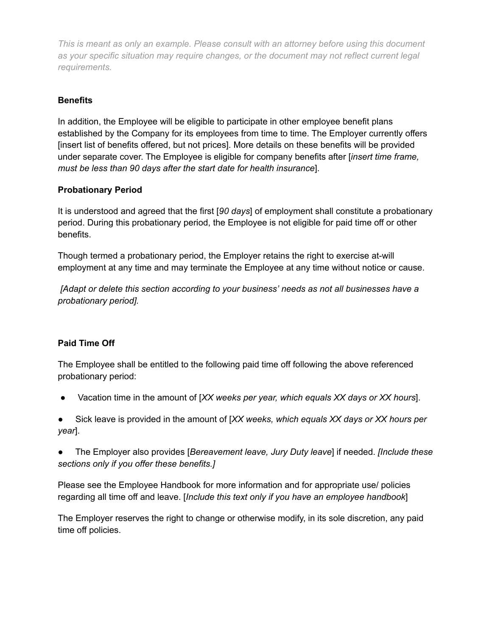# **Benefits**

In addition, the Employee will be eligible to participate in other employee benefit plans established by the Company for its employees from time to time. The Employer currently offers [insert list of benefits offered, but not prices]. More details on these benefits will be provided under separate cover. The Employee is eligible for company benefits after [*insert time frame, must be less than 90 days after the start date for health insurance*].

## **Probationary Period**

It is understood and agreed that the first [*90 days*] of employment shall constitute a probationary period. During this probationary period, the Employee is not eligible for paid time off or other benefits.

Though termed a probationary period, the Employer retains the right to exercise at-will employment at any time and may terminate the Employee at any time without notice or cause.

*[Adapt or delete this section according to your business' needs as not all businesses have a probationary period].*

# **Paid Time Off**

The Employee shall be entitled to the following paid time off following the above referenced probationary period:

● Vacation time in the amount of [*XX weeks per year, which equals XX days or XX hours*].

Sick leave is provided in the amount of [*XX weeks, which equals XX days or XX hours per year*].

● The Employer also provides [*Bereavement leave, Jury Duty leave*] if needed. *[Include these sections only if you offer these benefits.]*

Please see the Employee Handbook for more information and for appropriate use/ policies regarding all time off and leave. [*Include this text only if you have an employee handbook*]

The Employer reserves the right to change or otherwise modify, in its sole discretion, any paid time off policies.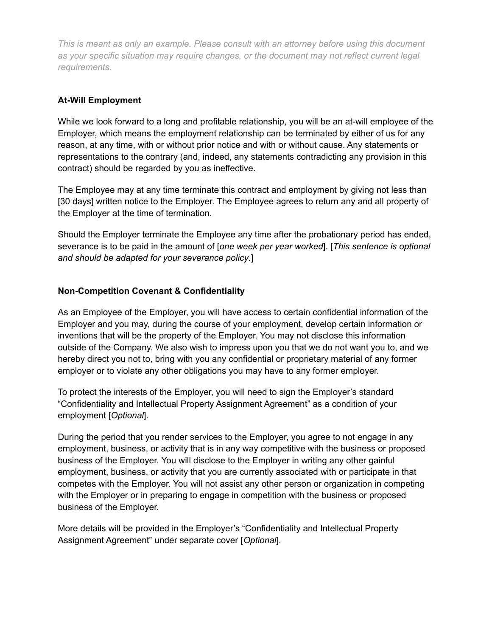#### **At-Will Employment**

While we look forward to a long and profitable relationship, you will be an at-will employee of the Employer, which means the employment relationship can be terminated by either of us for any reason, at any time, with or without prior notice and with or without cause. Any statements or representations to the contrary (and, indeed, any statements contradicting any provision in this contract) should be regarded by you as ineffective.

The Employee may at any time terminate this contract and employment by giving not less than [30 days] written notice to the Employer. The Employee agrees to return any and all property of the Employer at the time of termination.

Should the Employer terminate the Employee any time after the probationary period has ended, severance is to be paid in the amount of [*one week per year worked*]. [*This sentence is optional and should be adapted for your severance policy*.]

## **Non-Competition Covenant & Confidentiality**

As an Employee of the Employer, you will have access to certain confidential information of the Employer and you may, during the course of your employment, develop certain information or inventions that will be the property of the Employer. You may not disclose this information outside of the Company. We also wish to impress upon you that we do not want you to, and we hereby direct you not to, bring with you any confidential or proprietary material of any former employer or to violate any other obligations you may have to any former employer.

To protect the interests of the Employer, you will need to sign the Employer's standard "Confidentiality and Intellectual Property Assignment Agreement" as a condition of your employment [*Optional*].

During the period that you render services to the Employer, you agree to not engage in any employment, business, or activity that is in any way competitive with the business or proposed business of the Employer. You will disclose to the Employer in writing any other gainful employment, business, or activity that you are currently associated with or participate in that competes with the Employer. You will not assist any other person or organization in competing with the Employer or in preparing to engage in competition with the business or proposed business of the Employer.

More details will be provided in the Employer's "Confidentiality and Intellectual Property Assignment Agreement" under separate cover [*Optional*].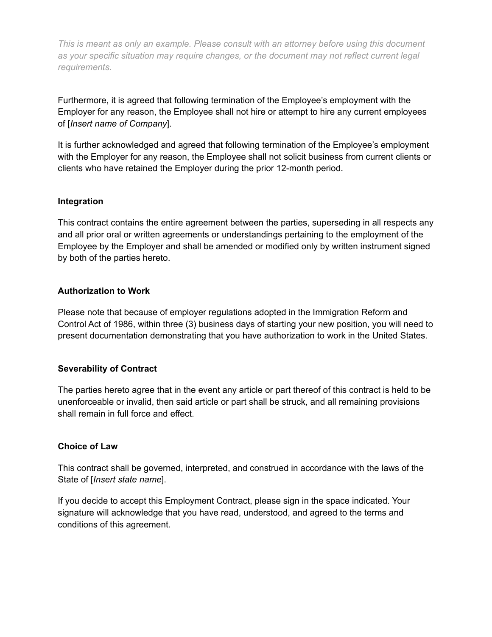Furthermore, it is agreed that following termination of the Employee's employment with the Employer for any reason, the Employee shall not hire or attempt to hire any current employees of [*Insert name of Company*].

It is further acknowledged and agreed that following termination of the Employee's employment with the Employer for any reason, the Employee shall not solicit business from current clients or clients who have retained the Employer during the prior 12-month period.

#### **Integration**

This contract contains the entire agreement between the parties, superseding in all respects any and all prior oral or written agreements or understandings pertaining to the employment of the Employee by the Employer and shall be amended or modified only by written instrument signed by both of the parties hereto.

#### **Authorization to Work**

Please note that because of employer regulations adopted in the Immigration Reform and Control Act of 1986, within three (3) business days of starting your new position, you will need to present documentation demonstrating that you have authorization to work in the United States.

#### **Severability of Contract**

The parties hereto agree that in the event any article or part thereof of this contract is held to be unenforceable or invalid, then said article or part shall be struck, and all remaining provisions shall remain in full force and effect.

#### **Choice of Law**

This contract shall be governed, interpreted, and construed in accordance with the laws of the State of [*Insert state name*].

If you decide to accept this Employment Contract, please sign in the space indicated. Your signature will acknowledge that you have read, understood, and agreed to the terms and conditions of this agreement.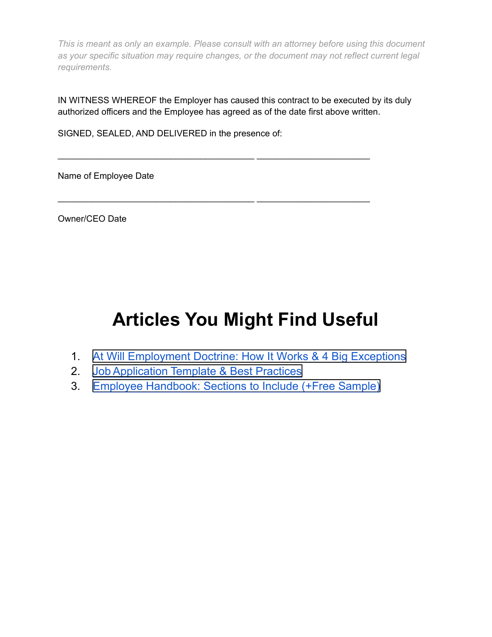IN WITNESS WHEREOF the Employer has caused this contract to be executed by its duly authorized officers and the Employee has agreed as of the date first above written.

\_\_\_\_\_\_\_\_\_\_\_\_\_\_\_\_\_\_\_\_\_\_\_\_\_\_\_\_\_\_\_\_\_\_\_\_\_\_\_\_ \_\_\_\_\_\_\_\_\_\_\_\_\_\_\_\_\_\_\_\_\_\_\_

\_\_\_\_\_\_\_\_\_\_\_\_\_\_\_\_\_\_\_\_\_\_\_\_\_\_\_\_\_\_\_\_\_\_\_\_\_\_\_\_ \_\_\_\_\_\_\_\_\_\_\_\_\_\_\_\_\_\_\_\_\_\_\_

SIGNED, SEALED, AND DELIVERED in the presence of:

Name of Employee Date

Owner/CEO Date

# **Articles You Might Find Useful**

- 1. [At Will Employment Doctrine: How It Works &](https://fitsmallbusiness.com/at-will-employment-doctrine/) 4 Big Exceptions
- 2. [Job Application Template & Best Practices](https://fitsmallbusiness.com/employment-application-form/)
- 3. [Employee Handbook: Sections to Include \(+Free](https://fitsmallbusiness.com/employee-handbook-sample/) Sample)